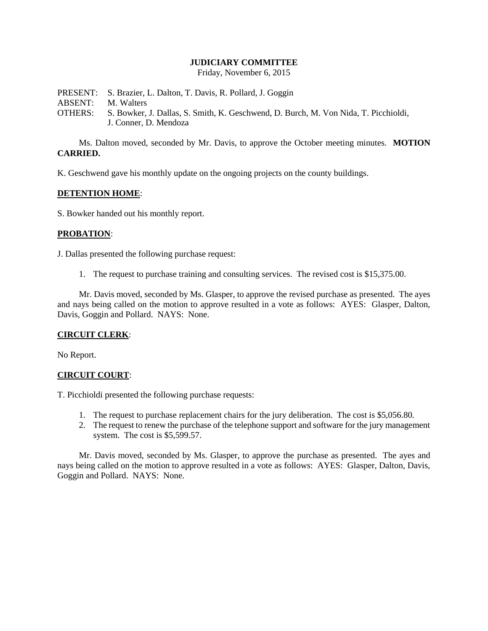## **JUDICIARY COMMITTEE**

Friday, November 6, 2015

PRESENT: S. Brazier, L. Dalton, T. Davis, R. Pollard, J. Goggin ABSENT: M. Walters OTHERS: S. Bowker, J. Dallas, S. Smith, K. Geschwend, D. Burch, M. Von Nida, T. Picchioldi, J. Conner, D. Mendoza

Ms. Dalton moved, seconded by Mr. Davis, to approve the October meeting minutes. **MOTION CARRIED.**

K. Geschwend gave his monthly update on the ongoing projects on the county buildings.

## **DETENTION HOME**:

S. Bowker handed out his monthly report.

## **PROBATION**:

J. Dallas presented the following purchase request:

1. The request to purchase training and consulting services. The revised cost is \$15,375.00.

Mr. Davis moved, seconded by Ms. Glasper, to approve the revised purchase as presented. The ayes and nays being called on the motion to approve resulted in a vote as follows: AYES: Glasper, Dalton, Davis, Goggin and Pollard. NAYS: None.

## **CIRCUIT CLERK**:

No Report.

## **CIRCUIT COURT**:

T. Picchioldi presented the following purchase requests:

- 1. The request to purchase replacement chairs for the jury deliberation. The cost is \$5,056.80.
- 2. The request to renew the purchase of the telephone support and software for the jury management system. The cost is \$5,599.57.

Mr. Davis moved, seconded by Ms. Glasper, to approve the purchase as presented. The ayes and nays being called on the motion to approve resulted in a vote as follows: AYES: Glasper, Dalton, Davis, Goggin and Pollard. NAYS: None.